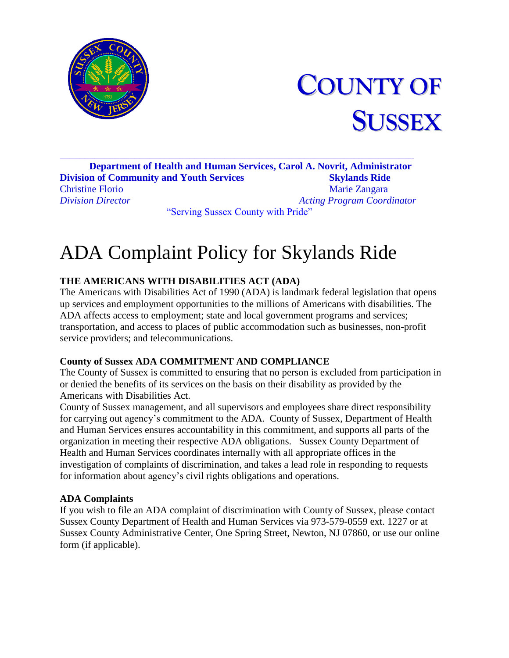



\_\_\_\_\_\_\_\_\_\_\_\_\_\_\_\_\_\_\_\_\_\_\_\_\_\_\_\_\_\_\_\_\_\_\_\_\_\_\_\_\_\_\_\_\_\_\_\_\_\_\_\_\_\_\_\_\_\_\_\_\_\_\_\_\_\_\_\_\_\_\_ **Department of Health and Human Services, Carol A. Novrit, Administrator Division of Community and Youth Services Skylands Ride** Christine Florio Marie Zangara *Division Director Acting Program Coordinator* "Serving Sussex County with Pride"

# ADA Complaint Policy for Skylands Ride

### **THE AMERICANS WITH DISABILITIES ACT (ADA)**

The Americans with Disabilities Act of 1990 (ADA) is landmark federal legislation that opens up services and employment opportunities to the millions of Americans with disabilities. The ADA affects access to employment; state and local government programs and services; transportation, and access to places of public accommodation such as businesses, non-profit service providers; and telecommunications.

#### **County of Sussex ADA COMMITMENT AND COMPLIANCE**

The County of Sussex is committed to ensuring that no person is excluded from participation in or denied the benefits of its services on the basis on their disability as provided by the Americans with Disabilities Act.

County of Sussex management, and all supervisors and employees share direct responsibility for carrying out agency's commitment to the ADA. County of Sussex, Department of Health and Human Services ensures accountability in this commitment, and supports all parts of the organization in meeting their respective ADA obligations. Sussex County Department of Health and Human Services coordinates internally with all appropriate offices in the investigation of complaints of discrimination, and takes a lead role in responding to requests for information about agency's civil rights obligations and operations.

#### **ADA Complaints**

If you wish to file an ADA complaint of discrimination with County of Sussex, please contact Sussex County Department of Health and Human Services via 973-579-0559 ext. 1227 or at Sussex County Administrative Center, One Spring Street, Newton, NJ 07860, or use our online form (if applicable).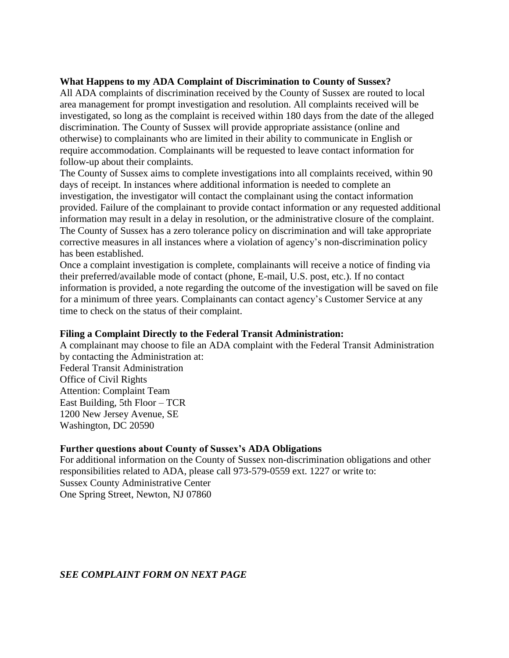#### **What Happens to my ADA Complaint of Discrimination to County of Sussex?**

All ADA complaints of discrimination received by the County of Sussex are routed to local area management for prompt investigation and resolution. All complaints received will be investigated, so long as the complaint is received within 180 days from the date of the alleged discrimination. The County of Sussex will provide appropriate assistance (online and otherwise) to complainants who are limited in their ability to communicate in English or require accommodation. Complainants will be requested to leave contact information for follow-up about their complaints.

The County of Sussex aims to complete investigations into all complaints received, within 90 days of receipt. In instances where additional information is needed to complete an investigation, the investigator will contact the complainant using the contact information provided. Failure of the complainant to provide contact information or any requested additional information may result in a delay in resolution, or the administrative closure of the complaint. The County of Sussex has a zero tolerance policy on discrimination and will take appropriate corrective measures in all instances where a violation of agency's non-discrimination policy has been established.

Once a complaint investigation is complete, complainants will receive a notice of finding via their preferred/available mode of contact (phone, E-mail, U.S. post, etc.). If no contact information is provided, a note regarding the outcome of the investigation will be saved on file for a minimum of three years. Complainants can contact agency's Customer Service at any time to check on the status of their complaint.

#### **Filing a Complaint Directly to the Federal Transit Administration:**

A complainant may choose to file an ADA complaint with the Federal Transit Administration by contacting the Administration at: Federal Transit Administration Office of Civil Rights Attention: Complaint Team East Building, 5th Floor – TCR 1200 New Jersey Avenue, SE Washington, DC 20590

#### **Further questions about County of Sussex's ADA Obligations**

For additional information on the County of Sussex non-discrimination obligations and other responsibilities related to ADA, please call 973-579-0559 ext. 1227 or write to: Sussex County Administrative Center One Spring Street, Newton, NJ 07860

*SEE COMPLAINT FORM ON NEXT PAGE*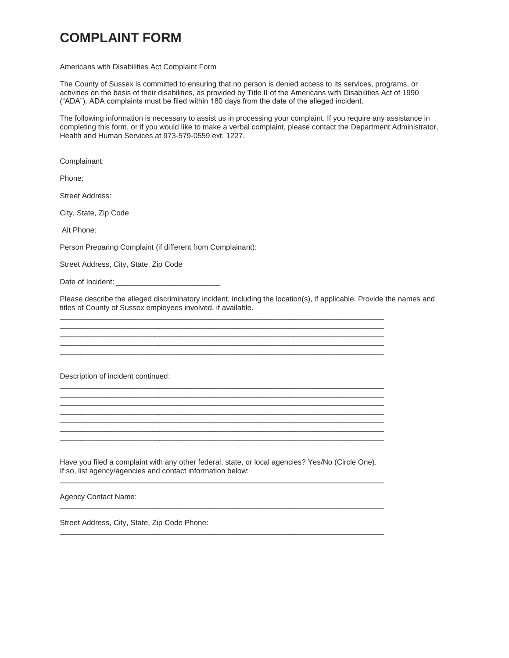## **COMPLAINT FORM**

Americans with Disabilities Act Complaint Form

The County of Sussex is committed to ensuring that no person is denied access to its services, programs, or activities on the basis of their disabilities, as provided by Title II of the Americans with Disabilities Act of 1990 ("ADA"). ADA complaints must be filed within 180 days from the date of the alleged incident.

The following information is necessary to assist us in processing your complaint. If you require any assistance in completing this form, or if you would like to make a verbal complaint, please contact the Department Administrator, Health and Human Services at 973-579-0559 ext. 1227.

Complainant:

Phone:

Street Address:

City, State, Zip Code

Alt Phone:

Person Preparing Complaint (if different from Complainant):

Street Address, City, State, Zip Code

Date of Incident:

Please describe the alleged discriminatory incident, including the location(s), if applicable. Provide the names and titles of County of Sussex employees involved, if available.

\_\_\_\_\_\_\_\_\_\_\_\_\_\_\_\_\_\_\_\_\_\_\_\_\_\_\_\_\_\_\_\_\_\_\_\_\_\_\_\_\_\_\_\_\_\_\_\_\_\_\_\_\_\_\_\_\_\_\_\_\_\_\_\_\_\_\_\_\_\_\_\_\_\_\_\_\_\_ \_\_\_\_\_\_\_\_\_\_\_\_\_\_\_\_\_\_\_\_\_\_\_\_\_\_\_\_\_\_\_\_\_\_\_\_\_\_\_\_\_\_\_\_\_\_\_\_\_\_\_\_\_\_\_\_\_\_\_\_\_\_\_\_\_\_\_\_\_\_\_\_\_\_\_\_\_\_ \_\_\_\_\_\_\_\_\_\_\_\_\_\_\_\_\_\_\_\_\_\_\_\_\_\_\_\_\_\_\_\_\_\_\_\_\_\_\_\_\_\_\_\_\_\_\_\_\_\_\_\_\_\_\_\_\_\_\_\_\_\_\_\_\_\_\_\_\_\_\_\_\_\_\_\_\_\_ \_\_\_\_\_\_\_\_\_\_\_\_\_\_\_\_\_\_\_\_\_\_\_\_\_\_\_\_\_\_\_\_\_\_\_\_\_\_\_\_\_\_\_\_\_\_\_\_\_\_\_\_\_\_\_\_\_\_\_\_\_\_\_\_\_\_\_\_\_\_\_\_\_\_\_\_\_\_ \_\_\_\_\_\_\_\_\_\_\_\_\_\_\_\_\_\_\_\_\_\_\_\_\_\_\_\_\_\_\_\_\_\_\_\_\_\_\_\_\_\_\_\_\_\_\_\_\_\_\_\_\_\_\_\_\_\_\_\_\_\_\_\_\_\_\_\_\_\_\_\_\_\_\_\_\_\_

\_\_\_\_\_\_\_\_\_\_\_\_\_\_\_\_\_\_\_\_\_\_\_\_\_\_\_\_\_\_\_\_\_\_\_\_\_\_\_\_\_\_\_\_\_\_\_\_\_\_\_\_\_\_\_\_\_\_\_\_\_\_\_\_\_\_\_\_\_\_\_\_\_\_\_\_\_\_ \_\_\_\_\_\_\_\_\_\_\_\_\_\_\_\_\_\_\_\_\_\_\_\_\_\_\_\_\_\_\_\_\_\_\_\_\_\_\_\_\_\_\_\_\_\_\_\_\_\_\_\_\_\_\_\_\_\_\_\_\_\_\_\_\_\_\_\_\_\_\_\_\_\_\_\_\_\_ \_\_\_\_\_\_\_\_\_\_\_\_\_\_\_\_\_\_\_\_\_\_\_\_\_\_\_\_\_\_\_\_\_\_\_\_\_\_\_\_\_\_\_\_\_\_\_\_\_\_\_\_\_\_\_\_\_\_\_\_\_\_\_\_\_\_\_\_\_\_\_\_\_\_\_\_\_\_ \_\_\_\_\_\_\_\_\_\_\_\_\_\_\_\_\_\_\_\_\_\_\_\_\_\_\_\_\_\_\_\_\_\_\_\_\_\_\_\_\_\_\_\_\_\_\_\_\_\_\_\_\_\_\_\_\_\_\_\_\_\_\_\_\_\_\_\_\_\_\_\_\_\_\_\_\_\_ \_\_\_\_\_\_\_\_\_\_\_\_\_\_\_\_\_\_\_\_\_\_\_\_\_\_\_\_\_\_\_\_\_\_\_\_\_\_\_\_\_\_\_\_\_\_\_\_\_\_\_\_\_\_\_\_\_\_\_\_\_\_\_\_\_\_\_\_\_\_\_\_\_\_\_\_\_\_ \_\_\_\_\_\_\_\_\_\_\_\_\_\_\_\_\_\_\_\_\_\_\_\_\_\_\_\_\_\_\_\_\_\_\_\_\_\_\_\_\_\_\_\_\_\_\_\_\_\_\_\_\_\_\_\_\_\_\_\_\_\_\_\_\_\_\_\_\_\_\_\_\_\_\_\_\_\_ \_\_\_\_\_\_\_\_\_\_\_\_\_\_\_\_\_\_\_\_\_\_\_\_\_\_\_\_\_\_\_\_\_\_\_\_\_\_\_\_\_\_\_\_\_\_\_\_\_\_\_\_\_\_\_\_\_\_\_\_\_\_\_\_\_\_\_\_\_\_\_\_\_\_\_\_\_\_

Description of incident continued:

Have you filed a complaint with any other federal, state, or local agencies? Yes/No (Circle One). If so, list agency/agencies and contact information below: \_\_\_\_\_\_\_\_\_\_\_\_\_\_\_\_\_\_\_\_\_\_\_\_\_\_\_\_\_\_\_\_\_\_\_\_\_\_\_\_\_\_\_\_\_\_\_\_\_\_\_\_\_\_\_\_\_\_\_\_\_\_\_\_\_\_\_\_\_\_\_\_\_\_\_\_\_\_

\_\_\_\_\_\_\_\_\_\_\_\_\_\_\_\_\_\_\_\_\_\_\_\_\_\_\_\_\_\_\_\_\_\_\_\_\_\_\_\_\_\_\_\_\_\_\_\_\_\_\_\_\_\_\_\_\_\_\_\_\_\_\_\_\_\_\_\_\_\_\_\_\_\_\_\_\_\_

\_\_\_\_\_\_\_\_\_\_\_\_\_\_\_\_\_\_\_\_\_\_\_\_\_\_\_\_\_\_\_\_\_\_\_\_\_\_\_\_\_\_\_\_\_\_\_\_\_\_\_\_\_\_\_\_\_\_\_\_\_\_\_\_\_\_\_\_\_\_\_\_\_\_\_\_\_\_

Agency Contact Name:

Street Address, City, State, Zip Code Phone: